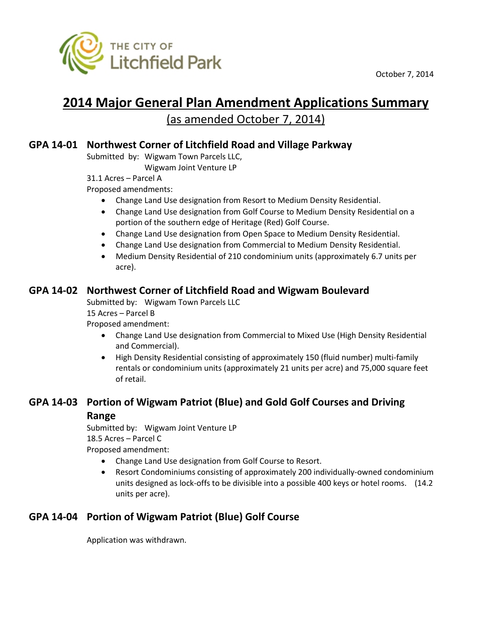

October 7, 2014

# **2014 Major General Plan Amendment Applications Summary** (as amended October 7, 2014)

## **GPA 14-01 Northwest Corner of Litchfield Road and Village Parkway**

Submitted by: Wigwam Town Parcels LLC,

Wigwam Joint Venture LP

31.1 Acres – Parcel A

Proposed amendments:

- Change Land Use designation from Resort to Medium Density Residential.
- Change Land Use designation from Golf Course to Medium Density Residential on a portion of the southern edge of Heritage (Red) Golf Course.
- Change Land Use designation from Open Space to Medium Density Residential.
- Change Land Use designation from Commercial to Medium Density Residential.
- Medium Density Residential of 210 condominium units (approximately 6.7 units per acre).

## **GPA 14-02 Northwest Corner of Litchfield Road and Wigwam Boulevard**

Submitted by: Wigwam Town Parcels LLC

15 Acres – Parcel B

Proposed amendment:

- Change Land Use designation from Commercial to Mixed Use (High Density Residential and Commercial).
- High Density Residential consisting of approximately 150 (fluid number) multi-family rentals or condominium units (approximately 21 units per acre) and 75,000 square feet of retail.

# **GPA 14-03 Portion of Wigwam Patriot (Blue) and Gold Golf Courses and Driving**

#### **Range**

Submitted by: Wigwam Joint Venture LP 18.5 Acres – Parcel C Proposed amendment:

- Change Land Use designation from Golf Course to Resort.
- Resort Condominiums consisting of approximately 200 individually-owned condominium units designed as lock-offs to be divisible into a possible 400 keys or hotel rooms. (14.2 units per acre).

# **GPA 14-04 Portion of Wigwam Patriot (Blue) Golf Course**

Application was withdrawn.